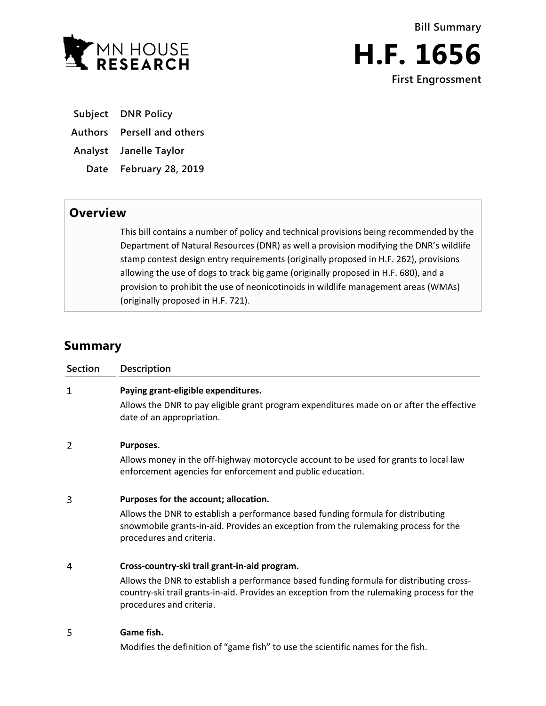



**Subject DNR Policy**

**Authors Persell and others**

**Analyst Janelle Taylor**

**Date February 28, 2019**

## **Overview**

This bill contains a number of policy and technical provisions being recommended by the Department of Natural Resources (DNR) as well a provision modifying the DNR's wildlife stamp contest design entry requirements (originally proposed in H.F. 262), provisions allowing the use of dogs to track big game (originally proposed in H.F. 680), and a provision to prohibit the use of neonicotinoids in wildlife management areas (WMAs) (originally proposed in H.F. 721).

# **Summary**

| <b>Section</b> | <b>Description</b>                                                                                                                                                                                                |
|----------------|-------------------------------------------------------------------------------------------------------------------------------------------------------------------------------------------------------------------|
| $\mathbf{1}$   | Paying grant-eligible expenditures.                                                                                                                                                                               |
|                | Allows the DNR to pay eligible grant program expenditures made on or after the effective<br>date of an appropriation.                                                                                             |
| 2              | Purposes.                                                                                                                                                                                                         |
|                | Allows money in the off-highway motorcycle account to be used for grants to local law<br>enforcement agencies for enforcement and public education.                                                               |
| 3              | Purposes for the account; allocation.                                                                                                                                                                             |
|                | Allows the DNR to establish a performance based funding formula for distributing<br>snowmobile grants-in-aid. Provides an exception from the rulemaking process for the<br>procedures and criteria.               |
| 4              | Cross-country-ski trail grant-in-aid program.                                                                                                                                                                     |
|                | Allows the DNR to establish a performance based funding formula for distributing cross-<br>country-ski trail grants-in-aid. Provides an exception from the rulemaking process for the<br>procedures and criteria. |
| 5              | Game fish.                                                                                                                                                                                                        |
|                | Modifies the definition of "game fish" to use the scientific names for the fish.                                                                                                                                  |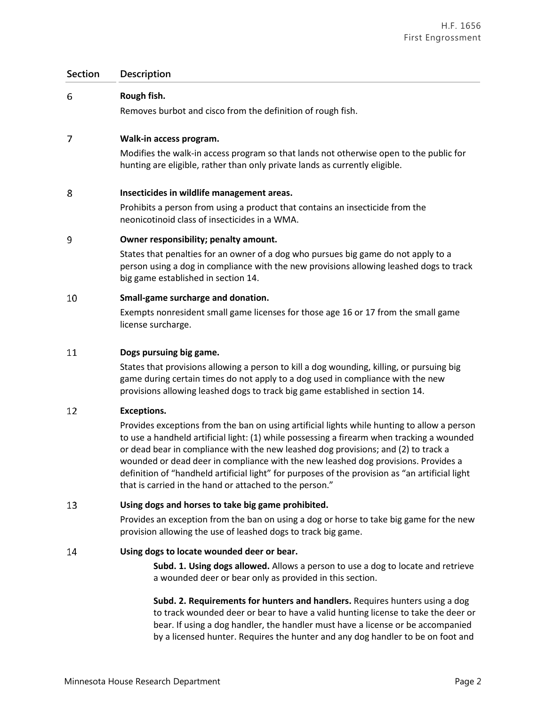### **Section Description**

| 6  | Rough fish.                                                                                                                                                                                                                                                   |
|----|---------------------------------------------------------------------------------------------------------------------------------------------------------------------------------------------------------------------------------------------------------------|
|    | Removes burbot and cisco from the definition of rough fish.                                                                                                                                                                                                   |
| 7  | Walk-in access program.                                                                                                                                                                                                                                       |
|    | Modifies the walk-in access program so that lands not otherwise open to the public for<br>hunting are eligible, rather than only private lands as currently eligible.                                                                                         |
| 8  | Insecticides in wildlife management areas.                                                                                                                                                                                                                    |
|    | Prohibits a person from using a product that contains an insecticide from the<br>neonicotinoid class of insecticides in a WMA.                                                                                                                                |
| 9  | Owner responsibility; penalty amount.                                                                                                                                                                                                                         |
|    | States that penalties for an owner of a dog who pursues big game do not apply to a<br>person using a dog in compliance with the new provisions allowing leashed dogs to track<br>big game established in section 14.                                          |
| 10 | Small-game surcharge and donation.                                                                                                                                                                                                                            |
|    | Exempts nonresident small game licenses for those age 16 or 17 from the small game<br>license surcharge.                                                                                                                                                      |
| 11 | Dogs pursuing big game.                                                                                                                                                                                                                                       |
|    | States that provisions allowing a person to kill a dog wounding, killing, or pursuing big<br>game during certain times do not apply to a dog used in compliance with the new<br>provisions allowing leashed dogs to track big game established in section 14. |
| 12 | <b>Exceptions.</b>                                                                                                                                                                                                                                            |

Provides exceptions from the ban on using artificial lights while hunting to allow a person to use a handheld artificial light: (1) while possessing a firearm when tracking a wounded or dead bear in compliance with the new leashed dog provisions; and (2) to track a wounded or dead deer in compliance with the new leashed dog provisions. Provides a definition of "handheld artificial light" for purposes of the provision as "an artificial light that is carried in the hand or attached to the person."

#### 13 **Using dogs and horses to take big game prohibited.**

Provides an exception from the ban on using a dog or horse to take big game for the new provision allowing the use of leashed dogs to track big game.

#### 14 **Using dogs to locate wounded deer or bear.**

**Subd. 1. Using dogs allowed.** Allows a person to use a dog to locate and retrieve a wounded deer or bear only as provided in this section.

**Subd. 2. Requirements for hunters and handlers.** Requires hunters using a dog to track wounded deer or bear to have a valid hunting license to take the deer or bear. If using a dog handler, the handler must have a license or be accompanied by a licensed hunter. Requires the hunter and any dog handler to be on foot and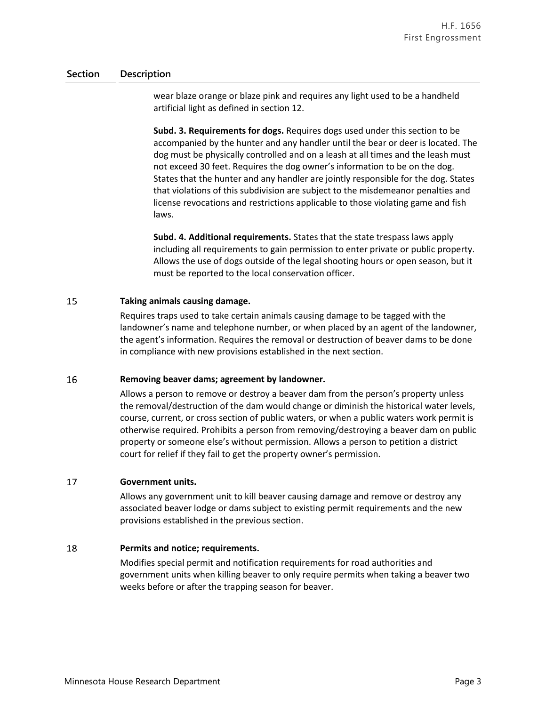### **Section Description**

wear blaze orange or blaze pink and requires any light used to be a handheld artificial light as defined in section 12.

**Subd. 3. Requirements for dogs.** Requires dogs used under this section to be accompanied by the hunter and any handler until the bear or deer is located. The dog must be physically controlled and on a leash at all times and the leash must not exceed 30 feet. Requires the dog owner's information to be on the dog. States that the hunter and any handler are jointly responsible for the dog. States that violations of this subdivision are subject to the misdemeanor penalties and license revocations and restrictions applicable to those violating game and fish laws.

**Subd. 4. Additional requirements.** States that the state trespass laws apply including all requirements to gain permission to enter private or public property. Allows the use of dogs outside of the legal shooting hours or open season, but it must be reported to the local conservation officer.

#### 15 **Taking animals causing damage.**

Requires traps used to take certain animals causing damage to be tagged with the landowner's name and telephone number, or when placed by an agent of the landowner, the agent's information. Requires the removal or destruction of beaver dams to be done in compliance with new provisions established in the next section.

#### 16 **Removing beaver dams; agreement by landowner.**

Allows a person to remove or destroy a beaver dam from the person's property unless the removal/destruction of the dam would change or diminish the historical water levels, course, current, or cross section of public waters, or when a public waters work permit is otherwise required. Prohibits a person from removing/destroying a beaver dam on public property or someone else's without permission. Allows a person to petition a district court for relief if they fail to get the property owner's permission.

#### 17 **Government units.**

Allows any government unit to kill beaver causing damage and remove or destroy any associated beaver lodge or dams subject to existing permit requirements and the new provisions established in the previous section.

#### 18 **Permits and notice; requirements.**

Modifies special permit and notification requirements for road authorities and government units when killing beaver to only require permits when taking a beaver two weeks before or after the trapping season for beaver.